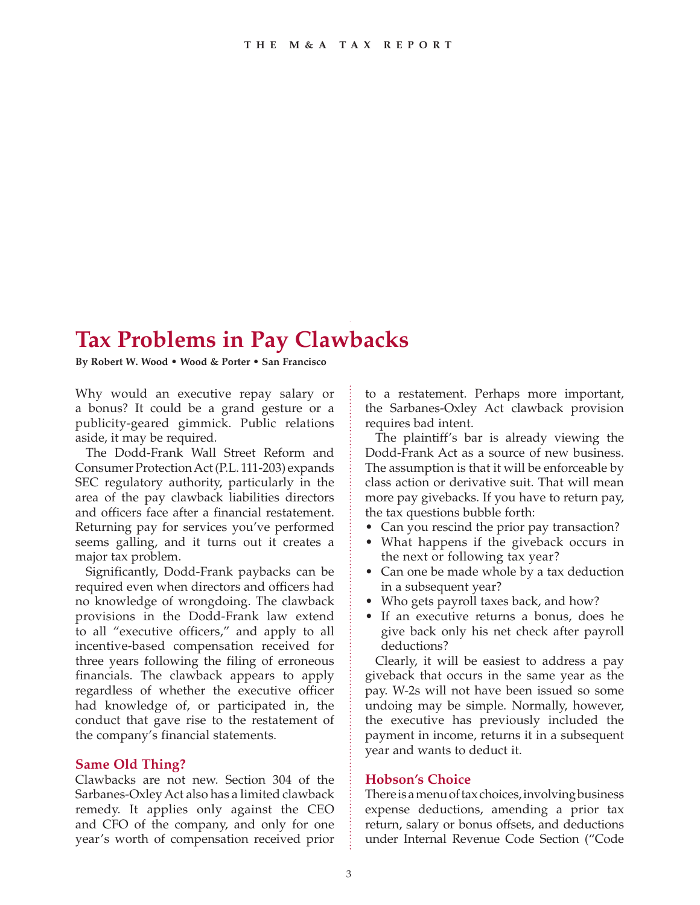# **Tax Problems in Pay Clawbacks**

**By Robert W. Wood • Wood & Porter • San Francisco**

Why would an executive repay salary or a bonus? It could be a grand gesture or a publicity-geared gimmick. Public relations aside, it may be required.

The Dodd-Frank Wall Street Reform and Consumer Protection Act (P.L. 111-203) expands SEC regulatory authority, particularly in the area of the pay clawback liabilities directors and officers face after a financial restatement. Returning pay for services you've performed seems galling, and it turns out it creates a major tax problem.

Significantly, Dodd-Frank paybacks can be required even when directors and officers had no knowledge of wrongdoing. The clawback provisions in the Dodd-Frank law extend to all "executive officers," and apply to all incentive-based compensation received for three years following the filing of erroneous financials. The clawback appears to apply regardless of whether the executive officer had knowledge of, or participated in, the conduct that gave rise to the restatement of the company's financial statements.

## **Same Old Thing?**

Clawbacks are not new. Section 304 of the Sarbanes-Oxley Act also has a limited clawback remedy. It applies only against the CEO and CFO of the company, and only for one year's worth of compensation received prior

to a restatement. Perhaps more important, the Sarbanes-Oxley Act clawback provision requires bad intent.

The plaintiff's bar is already viewing the Dodd-Frank Act as a source of new business. The assumption is that it will be enforceable by class action or derivative suit. That will mean more pay givebacks. If you have to return pay, the tax questions bubble forth:

- Can you rescind the prior pay transaction?
- What happens if the giveback occurs in the next or following tax year?
- Can one be made whole by a tax deduction in a subsequent year?
- Who gets payroll taxes back, and how?
- If an executive returns a bonus, does he give back only his net check after payroll deductions?

Clearly, it will be easiest to address a pay giveback that occurs in the same year as the pay. W-2s will not have been issued so some undoing may be simple. Normally, however, the executive has previously included the payment in income, returns it in a subsequent year and wants to deduct it.

# **Hobson's Choice**

There is a menu of tax choices, involving business expense deductions, amending a prior tax return, salary or bonus offsets, and deductions under Internal Revenue Code Section ("Code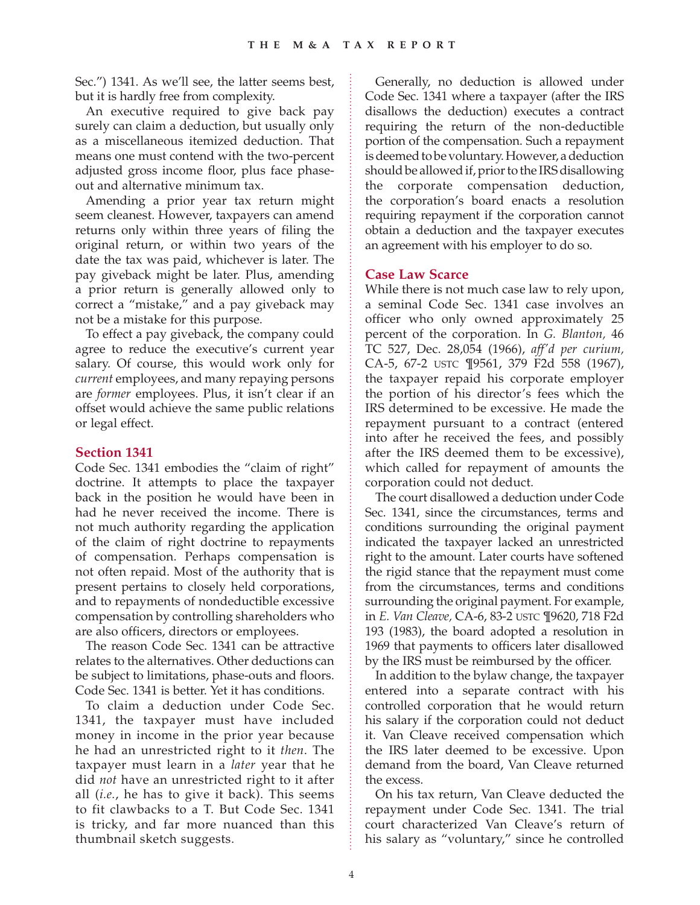Sec.") 1341. As we'll see, the latter seems best, but it is hardly free from complexity.

An executive required to give back pay surely can claim a deduction, but usually only as a miscellaneous itemized deduction. That means one must contend with the two-percent adjusted gross income floor, plus face phaseout and alternative minimum tax.

Amending a prior year tax return might seem cleanest. However, taxpayers can amend returns only within three years of filing the original return, or within two years of the date the tax was paid, whichever is later. The pay giveback might be later. Plus, amending a prior return is generally allowed only to correct a "mistake," and a pay giveback may not be a mistake for this purpose.

To effect a pay giveback, the company could agree to reduce the executive's current year salary. Of course, this would work only for *current* employees, and many repaying persons are *former* employees. Plus, it isn't clear if an offset would achieve the same public relations or legal effect.

#### **Section 1341**

Code Sec. 1341 embodies the "claim of right" doctrine. It attempts to place the taxpayer back in the position he would have been in had he never received the income. There is not much authority regarding the application of the claim of right doctrine to repayments of compensation. Perhaps compensation is not often repaid. Most of the authority that is present pertains to closely held corporations, and to repayments of nondeductible excessive compensation by controlling shareholders who are also officers, directors or employees.

The reason Code Sec. 1341 can be attractive relates to the alternatives. Other deductions can be subject to limitations, phase-outs and floors. Code Sec. 1341 is better. Yet it has conditions.

To claim a deduction under Code Sec. 1341, the taxpayer must have included money in income in the prior year because he had an unrestricted right to it *then*. The taxpayer must learn in a *later* year that he did *not* have an unrestricted right to it after all (*i.e.*, he has to give it back). This seems to fit clawbacks to a T. But Code Sec. 1341 is tricky, and far more nuanced than this thumbnail sketch suggests.

Generally, no deduction is allowed under Code Sec. 1341 where a taxpayer (after the IRS disallows the deduction) executes a contract requiring the return of the non-deductible portion of the compensation. Such a repayment is deemed to be voluntary. However, a deduction should be allowed if, prior to the IRS disallowing the corporate compensation deduction, the corporation's board enacts a resolution requiring repayment if the corporation cannot obtain a deduction and the taxpayer executes an agreement with his employer to do so.

## **Case Law Scarce**

While there is not much case law to rely upon, a seminal Code Sec. 1341 case involves an officer who only owned approximately 25 percent of the corporation. In *G. Blanton,* 46 TC 527, Dec. 28,054 (1966), *aff'd per curium,* CA-5, 67-2 USTC ¶9561, 379 F2d 558 (1967), the taxpayer repaid his corporate employer the portion of his director's fees which the IRS determined to be excessive. He made the repayment pursuant to a contract (entered into after he received the fees, and possibly after the IRS deemed them to be excessive), which called for repayment of amounts the corporation could not deduct.

The court disallowed a deduction under Code Sec. 1341, since the circumstances, terms and conditions surrounding the original payment indicated the taxpayer lacked an unrestricted right to the amount. Later courts have softened the rigid stance that the repayment must come from the circumstances, terms and conditions surrounding the original payment. For example, in *E. Van Cleave,* CA-6, 83-2 USTC ¶9620, 718 F2d 193 (1983), the board adopted a resolution in 1969 that payments to officers later disallowed by the IRS must be reimbursed by the officer.

In addition to the bylaw change, the taxpayer entered into a separate contract with his controlled corporation that he would return his salary if the corporation could not deduct it. Van Cleave received compensation which the IRS later deemed to be excessive. Upon demand from the board, Van Cleave returned the excess.

On his tax return, Van Cleave deducted the repayment under Code Sec. 1341. The trial court characterized Van Cleave's return of his salary as "voluntary," since he controlled